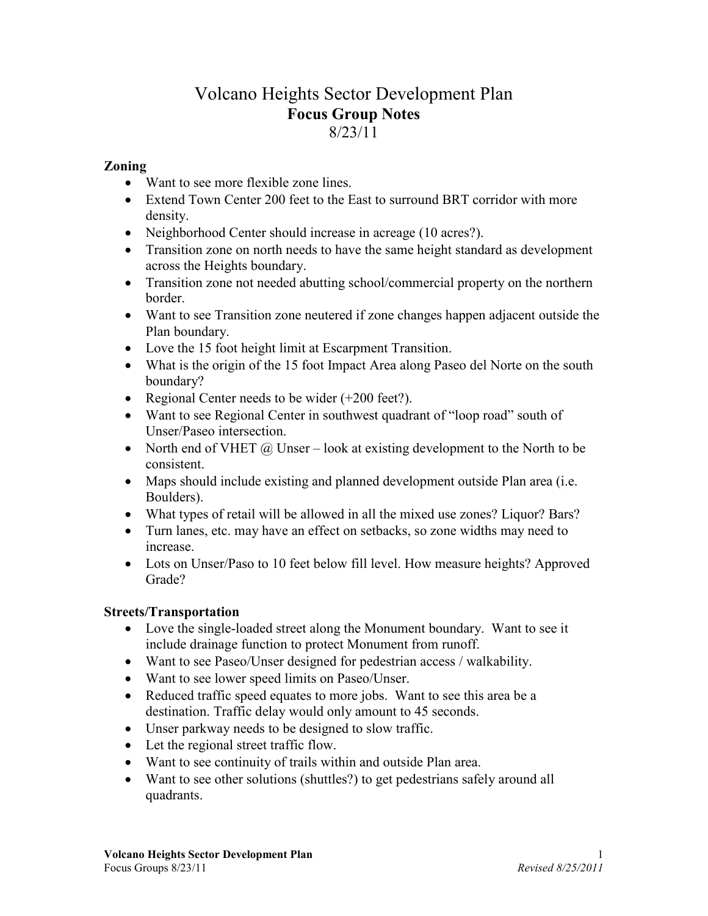# Volcano Heights Sector Development Plan Focus Group Notes 8/23/11

### Zoning

- Want to see more flexible zone lines.
- Extend Town Center 200 feet to the East to surround BRT corridor with more density.
- Neighborhood Center should increase in acreage (10 acres?).
- Transition zone on north needs to have the same height standard as development across the Heights boundary.
- Transition zone not needed abutting school/commercial property on the northern border.
- Want to see Transition zone neutered if zone changes happen adjacent outside the Plan boundary.
- Love the 15 foot height limit at Escarpment Transition.
- What is the origin of the 15 foot Impact Area along Paseo del Norte on the south boundary?
- Regional Center needs to be wider (+200 feet?).
- Want to see Regional Center in southwest quadrant of "loop road" south of Unser/Paseo intersection.
- North end of VHET  $\omega$  Unser look at existing development to the North to be consistent.
- Maps should include existing and planned development outside Plan area (i.e. Boulders).
- What types of retail will be allowed in all the mixed use zones? Liquor? Bars?
- Turn lanes, etc. may have an effect on setbacks, so zone widths may need to increase.
- Lots on Unser/Paso to 10 feet below fill level. How measure heights? Approved Grade?

#### Streets/Transportation

- Love the single-loaded street along the Monument boundary. Want to see it include drainage function to protect Monument from runoff.
- Want to see Paseo/Unser designed for pedestrian access / walkability.
- Want to see lower speed limits on Paseo/Unser.
- Reduced traffic speed equates to more jobs. Want to see this area be a destination. Traffic delay would only amount to 45 seconds.
- Unser parkway needs to be designed to slow traffic.
- Let the regional street traffic flow.
- Want to see continuity of trails within and outside Plan area.
- Want to see other solutions (shuttles?) to get pedestrians safely around all quadrants.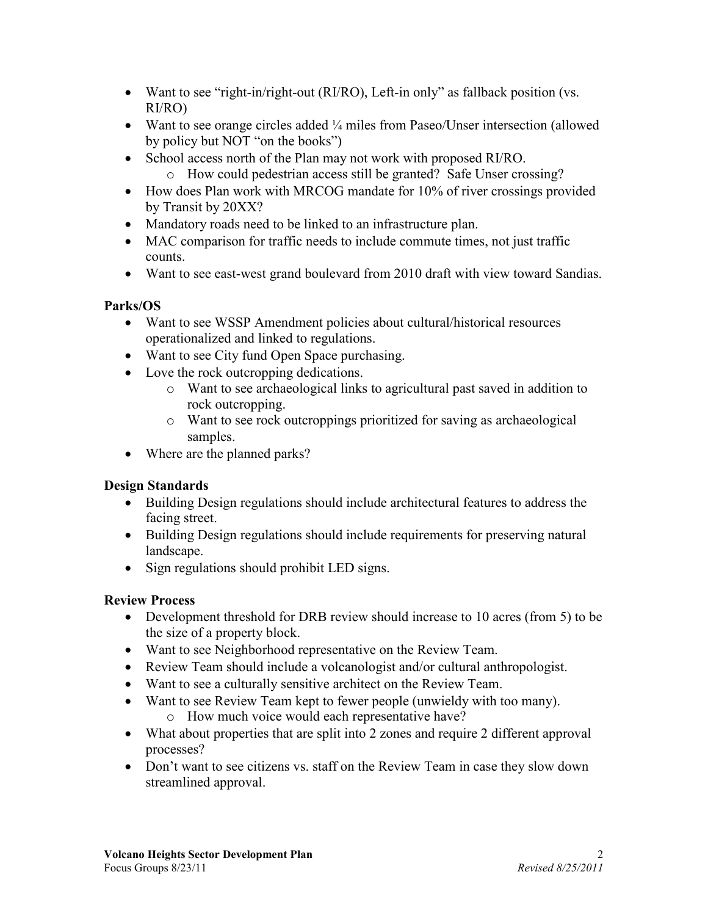- Want to see "right-in/right-out (RI/RO), Left-in only" as fallback position (vs. RI/RO)
- Want to see orange circles added  $\frac{1}{4}$  miles from Paseo/Unser intersection (allowed by policy but NOT "on the books")
- School access north of the Plan may not work with proposed RI/RO.
	- o How could pedestrian access still be granted? Safe Unser crossing?
- How does Plan work with MRCOG mandate for 10% of river crossings provided by Transit by 20XX?
- Mandatory roads need to be linked to an infrastructure plan.
- MAC comparison for traffic needs to include commute times, not just traffic counts.
- Want to see east-west grand boulevard from 2010 draft with view toward Sandias.

### Parks/OS

- Want to see WSSP Amendment policies about cultural/historical resources operationalized and linked to regulations.
- Want to see City fund Open Space purchasing.
- Love the rock outcropping dedications.
	- o Want to see archaeological links to agricultural past saved in addition to rock outcropping.
	- o Want to see rock outcroppings prioritized for saving as archaeological samples.
- Where are the planned parks?

# Design Standards

- Building Design regulations should include architectural features to address the facing street.
- Building Design regulations should include requirements for preserving natural landscape.
- Sign regulations should prohibit LED signs.

# Review Process

- Development threshold for DRB review should increase to 10 acres (from 5) to be the size of a property block.
- Want to see Neighborhood representative on the Review Team.
- Review Team should include a volcanologist and/or cultural anthropologist.
- Want to see a culturally sensitive architect on the Review Team.
- Want to see Review Team kept to fewer people (unwieldy with too many).
	- o How much voice would each representative have?
- What about properties that are split into 2 zones and require 2 different approval processes?
- Don't want to see citizens vs. staff on the Review Team in case they slow down streamlined approval.